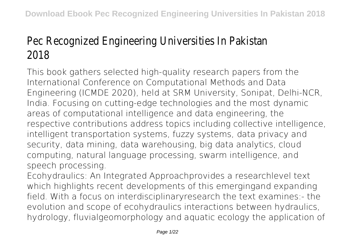## Pec Recognized Engineering Universities In Pakistan 2018

This book gathers selected high-quality research papers from the International Conference on Computational Methods and Data Engineering (ICMDE 2020), held at SRM University, Sonipat, Delhi-NCR, India. Focusing on cutting-edge technologies and the most dynamic areas of computational intelligence and data engineering, the respective contributions address topics including collective intelligence, intelligent transportation systems, fuzzy systems, data privacy and security, data mining, data warehousing, big data analytics, cloud computing, natural language processing, swarm intelligence, and speech processing.

Ecohydraulics: An Integrated Approachprovides a researchlevel text which highlights recent developments of this emergingand expanding field. With a focus on interdisciplinaryresearch the text examines:- the evolution and scope of ecohydraulics interactions between hydraulics, hydrology, fluvialgeomorphology and aquatic ecology the application of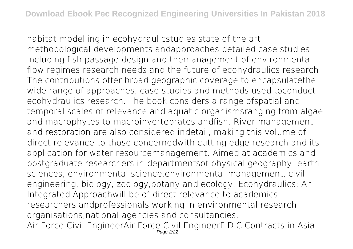habitat modelling in ecohydraulicstudies state of the art methodological developments andapproaches detailed case studies including fish passage design and themanagement of environmental flow regimes research needs and the future of ecohydraulics research The contributions offer broad geographic coverage to encapsulatethe wide range of approaches, case studies and methods used toconduct ecohydraulics research. The book considers a range ofspatial and temporal scales of relevance and aquatic organismsranging from algae and macrophytes to macroinvertebrates andfish. River management and restoration are also considered indetail, making this volume of direct relevance to those concernedwith cutting edge research and its application for water resourcemanagement. Aimed at academics and postgraduate researchers in departmentsof physical geography, earth sciences, environmental science,environmental management, civil engineering, biology, zoology,botany and ecology; Ecohydraulics: An Integrated Approachwill be of direct relevance to academics, researchers andprofessionals working in environmental research organisations,national agencies and consultancies. Air Force Civil EngineerAir Force Civil EngineerFIDIC Contracts in Asia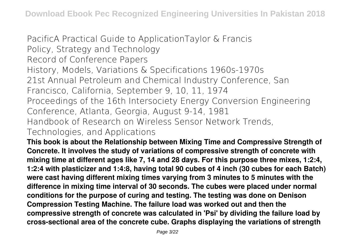PacificA Practical Guide to ApplicationTaylor & Francis Policy, Strategy and Technology Record of Conference Papers History, Models, Variations & Specifications 1960s-1970s 21st Annual Petroleum and Chemical Industry Conference, San Francisco, California, September 9, 10, 11, 1974 Proceedings of the 16th Intersociety Energy Conversion Engineering Conference, Atlanta, Georgia, August 9-14, 1981 Handbook of Research on Wireless Sensor Network Trends, Technologies, and Applications

**This book is about the Relationship between Mixing Time and Compressive Strength of Concrete. It involves the study of variations of compressive strength of concrete with mixing time at different ages like 7, 14 and 28 days. For this purpose three mixes, 1:2:4, 1:2:4 with plasticizer and 1:4:8, having total 90 cubes of 4 inch (30 cubes for each Batch) were cast having different mixing times varying from 3 minutes to 5 minutes with the difference in mixing time interval of 30 seconds. The cubes were placed under normal conditions for the purpose of curing and testing. The testing was done on Denison Compression Testing Machine. The failure load was worked out and then the compressive strength of concrete was calculated in 'Psi' by dividing the failure load by cross-sectional area of the concrete cube. Graphs displaying the variations of strength**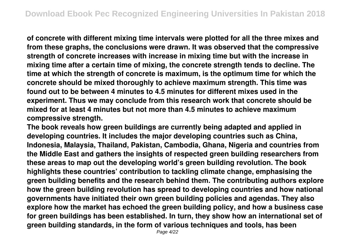**of concrete with different mixing time intervals were plotted for all the three mixes and from these graphs, the conclusions were drawn. It was observed that the compressive strength of concrete increases with increase in mixing time but with the increase in mixing time after a certain time of mixing, the concrete strength tends to decline. The time at which the strength of concrete is maximum, is the optimum time for which the concrete should be mixed thoroughly to achieve maximum strength. This time was found out to be between 4 minutes to 4.5 minutes for different mixes used in the experiment. Thus we may conclude from this research work that concrete should be mixed for at least 4 minutes but not more than 4.5 minutes to achieve maximum compressive strength.**

**The book reveals how green buildings are currently being adapted and applied in developing countries. It includes the major developing countries such as China, Indonesia, Malaysia, Thailand, Pakistan, Cambodia, Ghana, Nigeria and countries from the Middle East and gathers the insights of respected green building researchers from these areas to map out the developing world's green building revolution. The book highlights these countries' contribution to tackling climate change, emphasising the green building benefits and the research behind them. The contributing authors explore how the green building revolution has spread to developing countries and how national governments have initiated their own green building policies and agendas. They also explore how the market has echoed the green building policy, and how a business case for green buildings has been established. In turn, they show how an international set of green building standards, in the form of various techniques and tools, has been**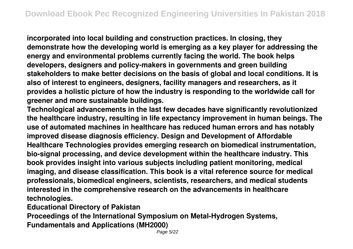**incorporated into local building and construction practices. In closing, they demonstrate how the developing world is emerging as a key player for addressing the energy and environmental problems currently facing the world. The book helps developers, designers and policy-makers in governments and green building stakeholders to make better decisions on the basis of global and local conditions. It is also of interest to engineers, designers, facility managers and researchers, as it provides a holistic picture of how the industry is responding to the worldwide call for greener and more sustainable buildings.**

**Technological advancements in the last few decades have significantly revolutionized the healthcare industry, resulting in life expectancy improvement in human beings. The use of automated machines in healthcare has reduced human errors and has notably improved disease diagnosis efficiency. Design and Development of Affordable Healthcare Technologies provides emerging research on biomedical instrumentation, bio-signal processing, and device development within the healthcare industry. This book provides insight into various subjects including patient monitoring, medical imaging, and disease classification. This book is a vital reference source for medical professionals, biomedical engineers, scientists, researchers, and medical students interested in the comprehensive research on the advancements in healthcare technologies.**

**Educational Directory of Pakistan**

**Proceedings of the International Symposium on Metal-Hydrogen Systems, Fundamentals and Applications (MH2000)**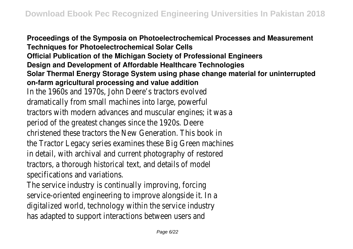**Proceedings of the Symposia on Photoelectrochemical Processes and Measurement Techniques for Photoelectrochemical Solar Cells Official Publication of the Michigan Society of Professional Engineers Design and Development of Affordable Healthcare Technologies Solar Thermal Energy Storage System using phase change material for uninterrupted on-farm agricultural processing and value addition** In the 1960s and 1970s, John Deere's tractors evolved dramatically from small machines into large, powerful tractors with modern advances and muscular engines; it was a period of the greatest changes since the 1920s. Deere christened these tractors the New Generation. This book in the Tractor Legacy series examines these Big Green machines in detail, with archival and current photography of restored tractors, a thorough historical text, and details of model specifications and variations.

The service industry is continually improving, forcing service-oriented engineering to improve alongside it. In a digitalized world, technology within the service industry has adapted to support interactions between users and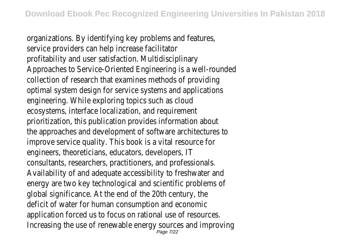organizations. By identifying key problems and features, service providers can help increase facilitator profitability and user satisfaction. Multidisciplinary Approaches to Service-Oriented Engineering is a well-rounded collection of research that examines methods of providing optimal system design for service systems and applications engineering. While exploring topics such as cloud ecosystems, interface localization, and requirement prioritization, this publication provides information about the approaches and development of software architectures to improve service quality. This book is a vital resource for engineers, theoreticians, educators, developers, IT consultants, researchers, practitioners, and professionals. Availability of and adequate accessibility to freshwater and energy are two key technological and scientific problems of global significance. At the end of the 20th century, the deficit of water for human consumption and economic application forced us to focus on rational use of resources. Increasing the use of renewable energy sources and improving Page 7/22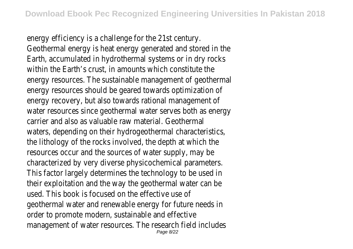energy efficiency is a challenge for the 21st century. Geothermal energy is heat energy generated and stored in the Earth, accumulated in hydrothermal systems or in dry rocks within the Earth's crust, in amounts which constitute the energy resources. The sustainable management of geothermal energy resources should be geared towards optimization of energy recovery, but also towards rational management of water resources since geothermal water serves both as energy carrier and also as valuable raw material. Geothermal waters, depending on their hydrogeothermal characteristics, the lithology of the rocks involved, the depth at which the resources occur and the sources of water supply, may be characterized by very diverse physicochemical parameters. This factor largely determines the technology to be used in their exploitation and the way the geothermal water can be used. This book is focused on the effective use of geothermal water and renewable energy for future needs in order to promote modern, sustainable and effective management of water resources. The research field includes Page 8/22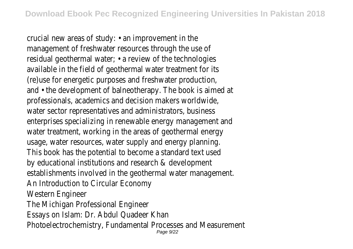crucial new areas of study: • an improvement in the management of freshwater resources through the use of residual geothermal water; • a review of the technologies available in the field of geothermal water treatment for its (re)use for energetic purposes and freshwater production, and • the development of balneotherapy. The book is aimed at professionals, academics and decision makers worldwide, water sector representatives and administrators, business enterprises specializing in renewable energy management and water treatment, working in the areas of geothermal energy usage, water resources, water supply and energy planning. This book has the potential to become a standard text used by educational institutions and research & development establishments involved in the geothermal water management. An Introduction to Circular Economy Western Engineer The Michigan Professional Engineer Essays on Islam: Dr. Abdul Quadeer Khan Photoelectrochemistry, Fundamental Processes and Measurement Page 9/22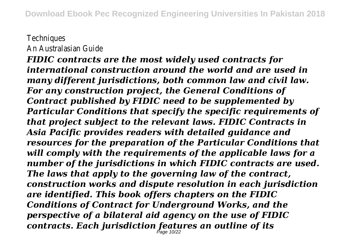## **Techniques** An Australasian Guide

*FIDIC contracts are the most widely used contracts for international construction around the world and are used in many different jurisdictions, both common law and civil law. For any construction project, the General Conditions of Contract published by FIDIC need to be supplemented by Particular Conditions that specify the specific requirements of that project subject to the relevant laws. FIDIC Contracts in Asia Pacific provides readers with detailed guidance and resources for the preparation of the Particular Conditions that will comply with the requirements of the applicable laws for a number of the jurisdictions in which FIDIC contracts are used. The laws that apply to the governing law of the contract, construction works and dispute resolution in each jurisdiction are identified. This book offers chapters on the FIDIC Conditions of Contract for Underground Works, and the perspective of a bilateral aid agency on the use of FIDIC contracts. Each jurisdiction features an outline of its* Page 10/22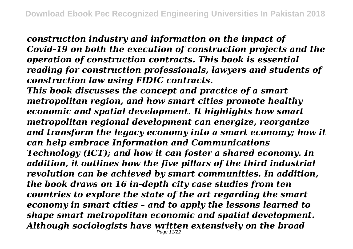*construction industry and information on the impact of Covid-19 on both the execution of construction projects and the operation of construction contracts. This book is essential reading for construction professionals, lawyers and students of construction law using FIDIC contracts.*

*This book discusses the concept and practice of a smart metropolitan region, and how smart cities promote healthy economic and spatial development. It highlights how smart metropolitan regional development can energize, reorganize and transform the legacy economy into a smart economy; how it can help embrace Information and Communications Technology (ICT); and how it can foster a shared economy. In addition, it outlines how the five pillars of the third industrial revolution can be achieved by smart communities. In addition, the book draws on 16 in-depth city case studies from ten countries to explore the state of the art regarding the smart economy in smart cities – and to apply the lessons learned to shape smart metropolitan economic and spatial development. Although sociologists have written extensively on the broad* Page 11/22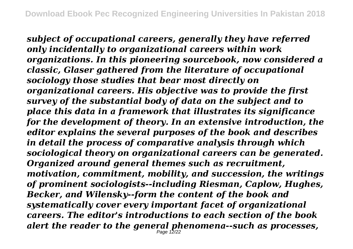*subject of occupational careers, generally they have referred only incidentally to organizational careers within work organizations. In this pioneering sourcebook, now considered a classic, Glaser gathered from the literature of occupational sociology those studies that bear most directly on organizational careers. His objective was to provide the first survey of the substantial body of data on the subject and to place this data in a framework that illustrates its significance for the development of theory. In an extensive introduction, the editor explains the several purposes of the book and describes in detail the process of comparative analysis through which sociological theory on organizational careers can be generated. Organized around general themes such as recruitment, motivation, commitment, mobility, and succession, the writings of prominent sociologists--including Riesman, Caplow, Hughes, Becker, and Wilensky--form the content of the book and systematically cover every important facet of organizational careers. The editor's introductions to each section of the book alert the reader to the general phenomena--such as processes,* Page 12/22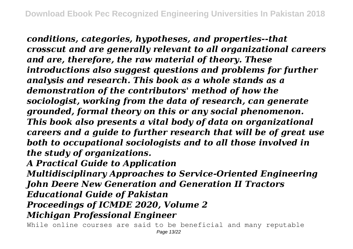*conditions, categories, hypotheses, and properties--that crosscut and are generally relevant to all organizational careers and are, therefore, the raw material of theory. These introductions also suggest questions and problems for further analysis and research. This book as a whole stands as a demonstration of the contributors' method of how the sociologist, working from the data of research, can generate grounded, formal theory on this or any social phenomenon. This book also presents a vital body of data on organizational careers and a guide to further research that will be of great use both to occupational sociologists and to all those involved in the study of organizations.*

*A Practical Guide to Application*

*Multidisciplinary Approaches to Service-Oriented Engineering John Deere New Generation and Generation II Tractors Educational Guide of Pakistan Proceedings of ICMDE 2020, Volume 2 Michigan Professional Engineer*

While online courses are said to be beneficial and many reputable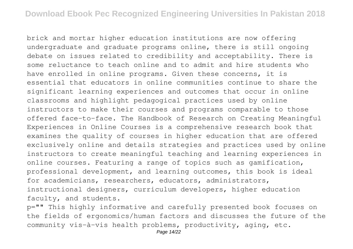brick and mortar higher education institutions are now offering undergraduate and graduate programs online, there is still ongoing debate on issues related to credibility and acceptability. There is some reluctance to teach online and to admit and hire students who have enrolled in online programs. Given these concerns, it is essential that educators in online communities continue to share the significant learning experiences and outcomes that occur in online classrooms and highlight pedagogical practices used by online instructors to make their courses and programs comparable to those offered face-to-face. The Handbook of Research on Creating Meaningful Experiences in Online Courses is a comprehensive research book that examines the quality of courses in higher education that are offered exclusively online and details strategies and practices used by online instructors to create meaningful teaching and learning experiences in online courses. Featuring a range of topics such as gamification, professional development, and learning outcomes, this book is ideal for academicians, researchers, educators, administrators, instructional designers, curriculum developers, higher education faculty, and students.

p="" This highly informative and carefully presented book focuses on the fields of ergonomics/human factors and discusses the future of the community vis-à-vis health problems, productivity, aging, etc.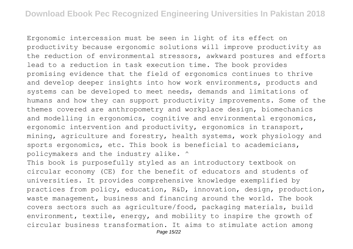Ergonomic intercession must be seen in light of its effect on productivity because ergonomic solutions will improve productivity as the reduction of environmental stressors, awkward postures and efforts lead to a reduction in task execution time. The book provides promising evidence that the field of ergonomics continues to thrive and develop deeper insights into how work environments, products and systems can be developed to meet needs, demands and limitations of humans and how they can support productivity improvements. Some of the themes covered are anthropometry and workplace design, biomechanics and modelling in ergonomics, cognitive and environmental ergonomics, ergonomic intervention and productivity, ergonomics in transport, mining, agriculture and forestry, health systems, work physiology and sports ergonomics, etc. This book is beneficial to academicians, policymakers and the industry alike. ^

This book is purposefully styled as an introductory textbook on circular economy (CE) for the benefit of educators and students of universities. It provides comprehensive knowledge exemplified by practices from policy, education, R&D, innovation, design, production, waste management, business and financing around the world. The book covers sectors such as agriculture/food, packaging materials, build environment, textile, energy, and mobility to inspire the growth of circular business transformation. It aims to stimulate action among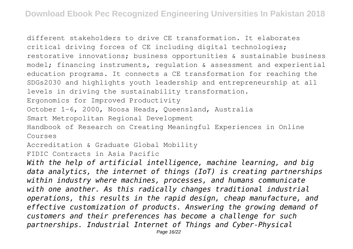different stakeholders to drive CE transformation. It elaborates critical driving forces of CE including digital technologies; restorative innovations; business opportunities & sustainable business model; financing instruments, regulation & assessment and experiential education programs. It connects a CE transformation for reaching the SDGs2030 and highlights youth leadership and entrepreneurship at all levels in driving the sustainability transformation. Ergonomics for Improved Productivity October 1-6, 2000, Noosa Heads, Queensland, Australia Smart Metropolitan Regional Development Handbook of Research on Creating Meaningful Experiences in Online Courses Accreditation & Graduate Global Mobility FIDIC Contracts in Asia Pacific *With the help of artificial intelligence, machine learning, and big data analytics, the internet of things (IoT) is creating partnerships within industry where machines, processes, and humans communicate with one another. As this radically changes traditional industrial operations, this results in the rapid design, cheap manufacture, and effective customization of products. Answering the growing demand of customers and their preferences has become a challenge for such partnerships. Industrial Internet of Things and Cyber-Physical*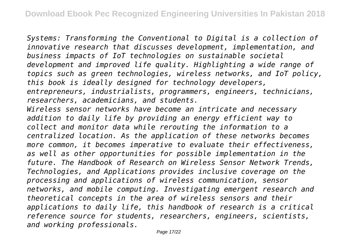*Systems: Transforming the Conventional to Digital is a collection of innovative research that discusses development, implementation, and business impacts of IoT technologies on sustainable societal development and improved life quality. Highlighting a wide range of topics such as green technologies, wireless networks, and IoT policy, this book is ideally designed for technology developers, entrepreneurs, industrialists, programmers, engineers, technicians, researchers, academicians, and students. Wireless sensor networks have become an intricate and necessary addition to daily life by providing an energy efficient way to collect and monitor data while rerouting the information to a centralized location. As the application of these networks becomes more common, it becomes imperative to evaluate their effectiveness, as well as other opportunities for possible implementation in the future. The Handbook of Research on Wireless Sensor Network Trends, Technologies, and Applications provides inclusive coverage on the processing and applications of wireless communication, sensor networks, and mobile computing. Investigating emergent research and theoretical concepts in the area of wireless sensors and their applications to daily life, this handbook of research is a critical reference source for students, researchers, engineers, scientists, and working professionals.*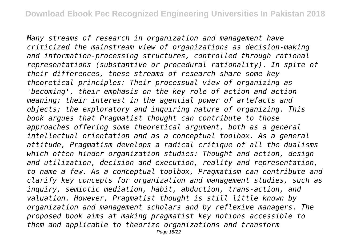*Many streams of research in organization and management have criticized the mainstream view of organizations as decision-making and information-processing structures, controlled through rational representations (substantive or procedural rationality). In spite of their differences, these streams of research share some key theoretical principles: Their processual view of organizing as 'becoming', their emphasis on the key role of action and action meaning; their interest in the agential power of artefacts and objects; the exploratory and inquiring nature of organizing. This book argues that Pragmatist thought can contribute to those approaches offering some theoretical argument, both as a general intellectual orientation and as a conceptual toolbox. As a general attitude, Pragmatism develops a radical critique of all the dualisms which often hinder organization studies: Thought and action, design and utilization, decision and execution, reality and representation, to name a few. As a conceptual toolbox, Pragmatism can contribute and clarify key concepts for organization and management studies, such as inquiry, semiotic mediation, habit, abduction, trans-action, and valuation. However, Pragmatist thought is still little known by organization and management scholars and by reflexive managers. The proposed book aims at making pragmatist key notions accessible to them and applicable to theorize organizations and transform*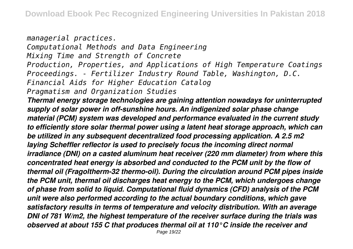*managerial practices. Computational Methods and Data Engineering Mixing Time and Strength of Concrete Production, Properties, and Applications of High Temperature Coatings Proceedings. - Fertilizer Industry Round Table, Washington, D.C. Financial Aids for Higher Education Catalog Pragmatism and Organization Studies*

*Thermal energy storage technologies are gaining attention nowadays for uninterrupted supply of solar power in off-sunshine hours. An indigenized solar phase change material (PCM) system was developed and performance evaluated in the current study to efficiently store solar thermal power using a latent heat storage approach, which can be utilized in any subsequent decentralized food processing application. A 2.5 m2 laying Scheffler reflector is used to precisely focus the incoming direct normal irradiance (DNI) on a casted aluminum heat receiver (220 mm diameter) from where this concentrated heat energy is absorbed and conducted to the PCM unit by the flow of thermal oil (Fragoltherm-32 thermo-oil). During the circulation around PCM pipes inside the PCM unit, thermal oil discharges heat energy to the PCM, which undergoes change of phase from solid to liquid. Computational fluid dynamics (CFD) analysis of the PCM unit were also performed according to the actual boundary conditions, which gave satisfactory results in terms of temperature and velocity distribution. With an average DNI of 781 W/m2, the highest temperature of the receiver surface during the trials was observed at about 155 C that produces thermal oil at 110°C inside the receiver and*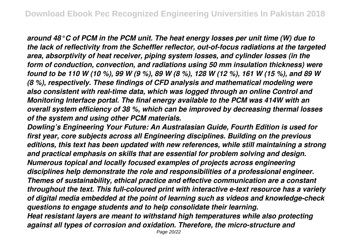*around 48°C of PCM in the PCM unit. The heat energy losses per unit time (W) due to the lack of reflectivity from the Scheffler reflector, out-of-focus radiations at the targeted area, absorptivity of heat receiver, piping system losses, and cylinder losses (in the form of conduction, convection, and radiations using 50 mm insulation thickness) were found to be 110 W (10 %), 99 W (9 %), 89 W (8 %), 128 W (12 %), 161 W (15 %), and 89 W (8 %), respectively. These findings of CFD analysis and mathematical modeling were also consistent with real-time data, which was logged through an online Control and Monitoring Interface portal. The final energy available to the PCM was 414W with an overall system efficiency of 38 %, which can be improved by decreasing thermal losses of the system and using other PCM materials.*

*Dowling's Engineering Your Future: An Australasian Guide, Fourth Edition is used for first year, core subjects across all Engineering disciplines. Building on the previous editions, this text has been updated with new references, while still maintaining a strong and practical emphasis on skills that are essential for problem solving and design. Numerous topical and locally focused examples of projects across engineering disciplines help demonstrate the role and responsibilities of a professional engineer. Themes of sustainability, ethical practice and effective communication are a constant throughout the text. This full-coloured print with interactive e-text resource has a variety of digital media embedded at the point of learning such as videos and knowledge-check questions to engage students and to help consolidate their learning. Heat resistant layers are meant to withstand high temperatures while also protecting against all types of corrosion and oxidation. Therefore, the micro-structure and*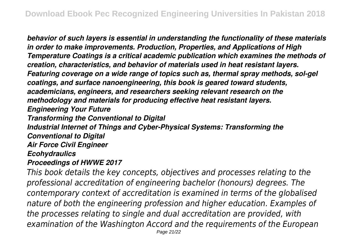*behavior of such layers is essential in understanding the functionality of these materials in order to make improvements. Production, Properties, and Applications of High Temperature Coatings is a critical academic publication which examines the methods of creation, characteristics, and behavior of materials used in heat resistant layers. Featuring coverage on a wide range of topics such as, thermal spray methods, sol-gel coatings, and surface nanoengineering, this book is geared toward students, academicians, engineers, and researchers seeking relevant research on the methodology and materials for producing effective heat resistant layers. Engineering Your Future Transforming the Conventional to Digital Industrial Internet of Things and Cyber-Physical Systems: Transforming the Conventional to Digital Air Force Civil Engineer Ecohydraulics Proceedings of HWWE 2017 This book details the key concepts, objectives and processes relating to the*

*professional accreditation of engineering bachelor (honours) degrees. The contemporary context of accreditation is examined in terms of the globalised nature of both the engineering profession and higher education. Examples of the processes relating to single and dual accreditation are provided, with examination of the Washington Accord and the requirements of the European*